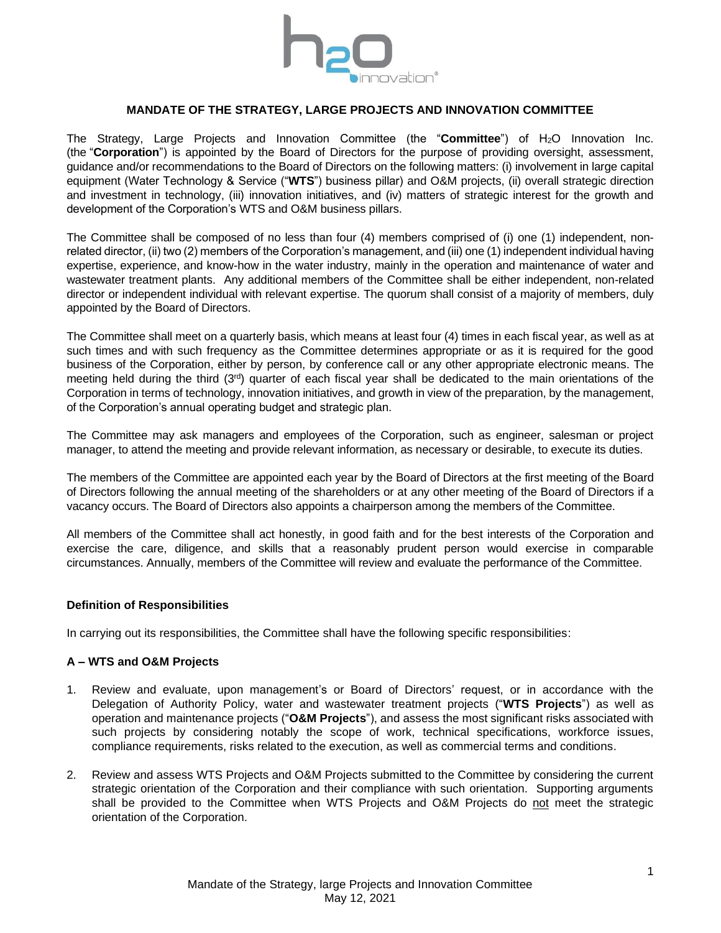

# **MANDATE OF THE STRATEGY, LARGE PROJECTS AND INNOVATION COMMITTEE**

The Strategy, Large Projects and Innovation Committee (the "**Committee**") of H2O Innovation Inc. (the "**Corporation**") is appointed by the Board of Directors for the purpose of providing oversight, assessment, guidance and/or recommendations to the Board of Directors on the following matters: (i) involvement in large capital equipment (Water Technology & Service ("**WTS**") business pillar) and O&M projects, (ii) overall strategic direction and investment in technology, (iii) innovation initiatives, and (iv) matters of strategic interest for the growth and development of the Corporation's WTS and O&M business pillars.

The Committee shall be composed of no less than four (4) members comprised of (i) one (1) independent, nonrelated director, (ii) two (2) members of the Corporation's management, and (iii) one (1) independent individual having expertise, experience, and know-how in the water industry, mainly in the operation and maintenance of water and wastewater treatment plants. Any additional members of the Committee shall be either independent, non-related director or independent individual with relevant expertise. The quorum shall consist of a majority of members, duly appointed by the Board of Directors.

The Committee shall meet on a quarterly basis, which means at least four (4) times in each fiscal year, as well as at such times and with such frequency as the Committee determines appropriate or as it is required for the good business of the Corporation, either by person, by conference call or any other appropriate electronic means. The meeting held during the third  $(3<sup>rd</sup>)$  quarter of each fiscal year shall be dedicated to the main orientations of the Corporation in terms of technology, innovation initiatives, and growth in view of the preparation, by the management, of the Corporation's annual operating budget and strategic plan.

The Committee may ask managers and employees of the Corporation, such as engineer, salesman or project manager, to attend the meeting and provide relevant information, as necessary or desirable, to execute its duties.

The members of the Committee are appointed each year by the Board of Directors at the first meeting of the Board of Directors following the annual meeting of the shareholders or at any other meeting of the Board of Directors if a vacancy occurs. The Board of Directors also appoints a chairperson among the members of the Committee.

All members of the Committee shall act honestly, in good faith and for the best interests of the Corporation and exercise the care, diligence, and skills that a reasonably prudent person would exercise in comparable circumstances. Annually, members of the Committee will review and evaluate the performance of the Committee.

### **Definition of Responsibilities**

In carrying out its responsibilities, the Committee shall have the following specific responsibilities:

### **A – WTS and O&M Projects**

- <span id="page-0-0"></span>1. Review and evaluate, upon management's or Board of Directors' request, or in accordance with the Delegation of Authority Policy, water and wastewater treatment projects ("**WTS Projects**") as well as operation and maintenance projects ("**O&M Projects**"), and assess the most significant risks associated with such projects by considering notably the scope of work, technical specifications, workforce issues, compliance requirements, risks related to the execution, as well as commercial terms and conditions.
- 2. Review and assess WTS Projects and O&M Projects submitted to the Committee by considering the current strategic orientation of the Corporation and their compliance with such orientation. Supporting arguments shall be provided to the Committee when WTS Projects and O&M Projects do not meet the strategic orientation of the Corporation.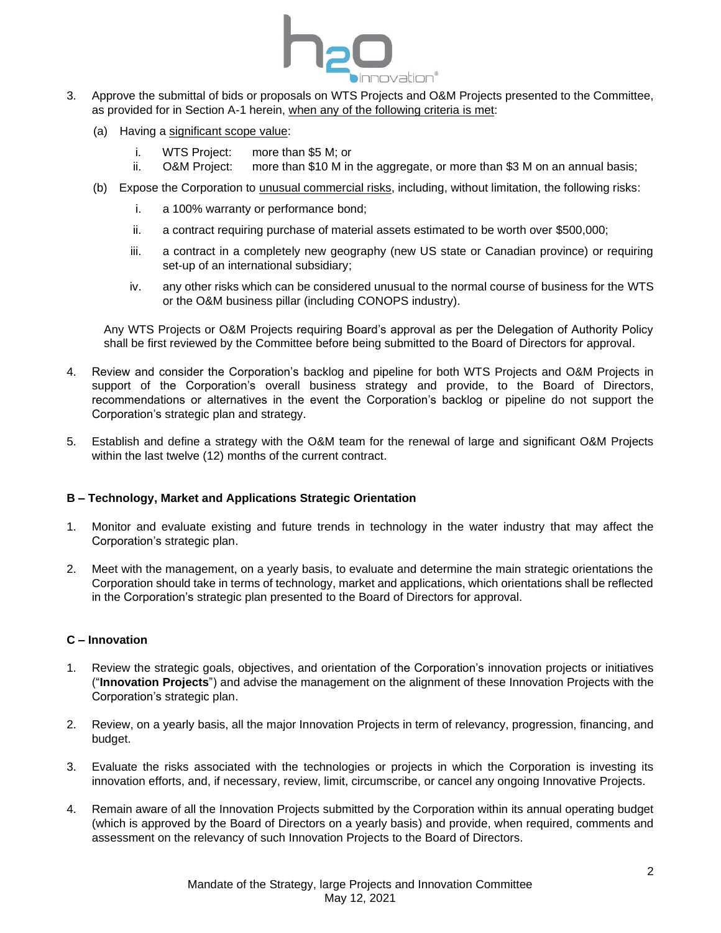

- 3. Approve the submittal of bids or proposals on WTS Projects and O&M Projects presented to the Committee, as provided for in Section A[-1](#page-0-0) herein, when any of the following criteria is met:
	- (a) Having a significant scope value:
		- i. WTS Project: more than \$5 M; or
		- ii. O&M Project: more than \$10 M in the aggregate, or more than \$3 M on an annual basis;
	- (b) Expose the Corporation to unusual commercial risks, including, without limitation, the following risks:
		- i. a 100% warranty or performance bond;
		- ii. a contract requiring purchase of material assets estimated to be worth over \$500,000;
		- iii. a contract in a completely new geography (new US state or Canadian province) or requiring set-up of an international subsidiary;
		- iv. any other risks which can be considered unusual to the normal course of business for the WTS or the O&M business pillar (including CONOPS industry).

Any WTS Projects or O&M Projects requiring Board's approval as per the Delegation of Authority Policy shall be first reviewed by the Committee before being submitted to the Board of Directors for approval.

- 4. Review and consider the Corporation's backlog and pipeline for both WTS Projects and O&M Projects in support of the Corporation's overall business strategy and provide, to the Board of Directors, recommendations or alternatives in the event the Corporation's backlog or pipeline do not support the Corporation's strategic plan and strategy.
- 5. Establish and define a strategy with the O&M team for the renewal of large and significant O&M Projects within the last twelve (12) months of the current contract.

## **B – Technology, Market and Applications Strategic Orientation**

- 1. Monitor and evaluate existing and future trends in technology in the water industry that may affect the Corporation's strategic plan.
- 2. Meet with the management, on a yearly basis, to evaluate and determine the main strategic orientations the Corporation should take in terms of technology, market and applications, which orientations shall be reflected in the Corporation's strategic plan presented to the Board of Directors for approval.

### **C – Innovation**

- 1. Review the strategic goals, objectives, and orientation of the Corporation's innovation projects or initiatives ("**Innovation Projects**") and advise the management on the alignment of these Innovation Projects with the Corporation's strategic plan.
- 2. Review, on a yearly basis, all the major Innovation Projects in term of relevancy, progression, financing, and budget.
- 3. Evaluate the risks associated with the technologies or projects in which the Corporation is investing its innovation efforts, and, if necessary, review, limit, circumscribe, or cancel any ongoing Innovative Projects.
- 4. Remain aware of all the Innovation Projects submitted by the Corporation within its annual operating budget (which is approved by the Board of Directors on a yearly basis) and provide, when required, comments and assessment on the relevancy of such Innovation Projects to the Board of Directors.